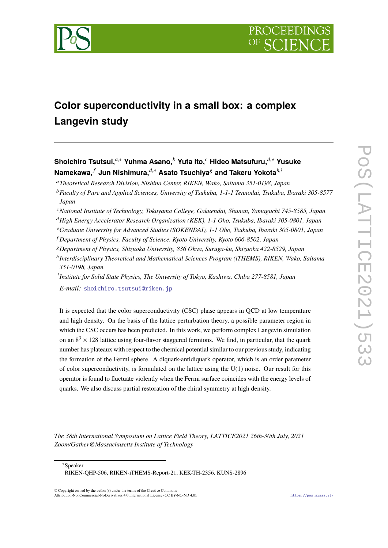

# **Color superconductivity in a small box: a complex Langevin study**

# **Shoichiro Tsutsui,***a*,<sup>∗</sup> **Yuhma Asano,***<sup>b</sup>* **Yuta Ito,***<sup>c</sup>* **Hideo Matsufuru,***d*,*<sup>e</sup>* **Yusuke Namekawa,** *<sup>f</sup>* **Jun Nishimura,***d*,*<sup>e</sup>* **Asato Tsuchiya**<sup>g</sup> **and Takeru Yokota***h*,*<sup>i</sup>*

<sup>a</sup>*Theoretical Research Division, Nishina Center, RIKEN, Wako, Saitama 351-0198, Japan*

- <sup>b</sup>*Faculty of Pure and Applied Sciences, University of Tsukuba, 1-1-1 Tennodai, Tsukuba, Ibaraki 305-8577 Japan*
- <sup>c</sup>*National Institute of Technology, Tokuyama College, Gakuendai, Shunan, Yamaguchi 745-8585, Japan*
- <sup>d</sup>*High Energy Accelerator Research Organization (KEK), 1-1 Oho, Tsukuba, Ibaraki 305-0801, Japan*
- <sup>e</sup>*Graduate University for Advanced Studies (SOKENDAI), 1-1 Oho, Tsukuba, Ibaraki 305-0801, Japan*
- <sup>f</sup> *Department of Physics, Faculty of Science, Kyoto University, Kyoto 606-8502, Japan*
- <sup>g</sup>*Department of Physics, Shizuoka University, 836 Ohya, Suruga-ku, Shizuoka 422-8529, Japan*
- h *Interdisciplinary Theoretical and Mathematical Sciences Program (iTHEMS), RIKEN, Wako, Saitama 351-0198, Japan*
- i *Institute for Solid State Physics, The University of Tokyo, Kashiwa, Chiba 277-8581, Japan E-mail:* [shoichiro.tsutsui@riken.jp](mailto:shoichiro.tsutsui@riken.jp)

It is expected that the color superconductivity (CSC) phase appears in QCD at low temperature and high density. On the basis of the lattice perturbation theory, a possible parameter region in which the CSC occurs has been predicted. In this work, we perform complex Langevin simulation on an  $8<sup>3</sup> \times 128$  lattice using four-flavor staggered fermions. We find, in particular, that the quark number has plateaux with respect to the chemical potential similar to our previous study, indicating the formation of the Fermi sphere. A diquark-antidiquark operator, which is an order parameter of color superconductivity, is formulated on the lattice using the  $U(1)$  noise. Our result for this operator is found to fluctuate violently when the Fermi surface coincides with the energy levels of quarks. We also discuss partial restoration of the chiral symmetry at high density.

*The 38th International Symposium on Lattice Field Theory, LATTICE2021 26th-30th July, 2021 Zoom/Gather@Massachusetts Institute of Technology*

<sup>∗</sup>Speaker

RIKEN-QHP-506, RIKEN-iTHEMS-Report-21, KEK-TH-2356, KUNS-2896

© Copyright owned by the author(s) under the terms of the Creative Commons Attribution-NonCommercial-NoDerivatives 4.0 International License (CC BY-NC-ND 4.0). <https://pos.sissa.it/>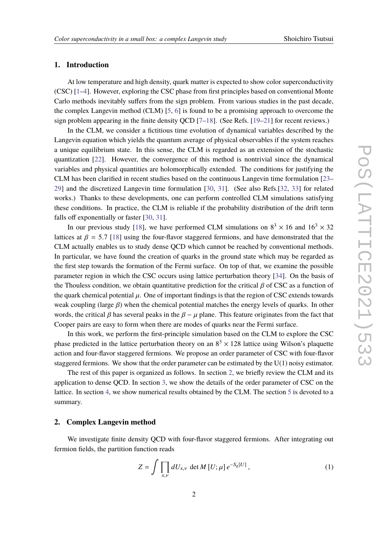## **1. Introduction**

At low temperature and high density, quark matter is expected to show color superconductivity (CSC) [\[1–](#page-7-0)[4\]](#page-7-1). However, exploring the CSC phase from first principles based on conventional Monte Carlo methods inevitably suffers from the sign problem. From various studies in the past decade, the complex Langevin method (CLM) [\[5,](#page-7-2) [6\]](#page-7-3) is found to be a promising approach to overcome the sign problem appearing in the finite density OCD  $[7-18]$  $[7-18]$ . (See Refs. [\[19–](#page-8-1)[21\]](#page-8-2) for recent reviews.)

In the CLM, we consider a fictitious time evolution of dynamical variables described by the Langevin equation which yields the quantum average of physical observables if the system reaches a unique equilibrium state. In this sense, the CLM is regarded as an extension of the stochastic quantization [\[22\]](#page-8-3). However, the convergence of this method is nontrivial since the dynamical variables and physical quantities are holomorphically extended. The conditions for justifying the CLM has been clarified in recent studies based on the continuous Langevin time formulation [\[23–](#page-8-4) [29\]](#page-8-5) and the discretized Langevin time formulation [\[30,](#page-8-6) [31\]](#page-8-7). (See also Refs.[\[32,](#page-8-8) [33\]](#page-8-9) for related works.) Thanks to these developments, one can perform controlled CLM simulations satisfying these conditions. In practice, the CLM is reliable if the probability distribution of the drift term falls off exponentially or faster [\[30,](#page-8-6) [31\]](#page-8-7).

In our previous study [\[18\]](#page-8-0), we have performed CLM simulations on  $8^3 \times 16$  and  $16^3 \times 32$ lattices at  $\beta = 5.7$  [\[18\]](#page-8-0) using the four-flavor staggered fermions, and have demonstrated that the CLM actually enables us to study dense QCD which cannot be reached by conventional methods. In particular, we have found the creation of quarks in the ground state which may be regarded as the first step towards the formation of the Fermi surface. On top of that, we examine the possible parameter region in which the CSC occurs using lattice perturbation theory [\[34\]](#page-8-10). On the basis of the Thouless condition, we obtain quantitative prediction for the critical  $\beta$  of CSC as a function of the quark chemical potential  $\mu$ . One of important findings is that the region of CSC extends towards weak coupling (large  $\beta$ ) when the chemical potential matches the energy levels of quarks. In other words, the critical  $\beta$  has several peaks in the  $\beta - \mu$  plane. This feature originates from the fact that Cooper pairs are easy to form when there are modes of quarks near the Fermi surface.

In this work, we perform the first-principle simulation based on the CLM to explore the CSC phase predicted in the lattice perturbation theory on an  $8^3 \times 128$  lattice using Wilson's plaquette action and four-flavor staggered fermions. We propose an order parameter of CSC with four-flavor staggered fermions. We show that the order parameter can be estimated by the  $U(1)$  noisy estimator.

The rest of this paper is organized as follows. In section [2,](#page-1-0) we briefly review the CLM and its application to dense QCD. In section [3,](#page-3-0) we show the details of the order parameter of CSC on the lattice. In section [4,](#page-4-0) we show numerical results obtained by the CLM. The section [5](#page-6-0) is devoted to a summary.

#### <span id="page-1-0"></span>**2. Complex Langevin method**

We investigate finite density QCD with four-flavor staggered fermions. After integrating out fermion fields, the partition function reads

$$
Z = \int \prod_{x,\nu} dU_{x,\nu} \det M[U; \mu] e^{-S_g[U]}, \qquad (1)
$$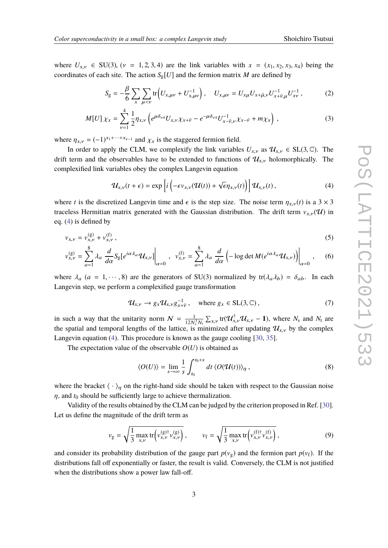where  $U_{x,y} \in SU(3)$ ,  $(v = 1, 2, 3, 4)$  are the link variables with  $x = (x_1, x_2, x_3, x_4)$  being the coordinates of each site. The action  $S_g[U]$  and the fermion matrix *M* are defined by

$$
S_{g} = -\frac{\beta}{6} \sum_{x} \sum_{\mu < \nu} \text{tr}\Big(U_{x,\mu\nu} + U_{x,\mu\nu}^{-1}\Big), \quad U_{x,\mu\nu} = U_{x\mu} U_{x+\hat{\mu},\nu} U_{x+\hat{\nu},\mu}^{-1} U_{x\nu}^{-1},\tag{2}
$$

$$
M[U]\chi_x = \sum_{\nu=1}^4 \frac{1}{2} \eta_{x,\nu} \left( e^{\mu \delta_{\nu 4}} U_{x,\nu} \chi_{x+\hat{\nu}} - e^{-\mu \delta_{\nu 4}} U_{x-\hat{\nu},\nu}^{-1} \chi_{x-\hat{\nu}} + m \chi_x \right) , \tag{3}
$$

where  $\eta_{x,v} = (-1)^{x_1 + \cdots + x_{v-1}}$  and  $\chi_x$  is the staggered fermion field.

In order to apply the CLM, we complexify the link variables  $U_{x,y}$  as  $\mathcal{U}_{x,y} \in SL(3,\mathbb{C})$ . The drift term and the observables have to be extended to functions of  $\mathcal{U}_{x,y}$  holomorphically. The complexified link variables obey the complex Langevin equation

<span id="page-2-0"></span>
$$
\mathcal{U}_{x,\nu}(t+\epsilon) = \exp\left[i\left(-\epsilon v_{x,\nu}(\mathcal{U}(t)) + \sqrt{\epsilon}\eta_{x,\nu}(t)\right)\right]\mathcal{U}_{x,\nu}(t),\tag{4}
$$

where *t* is the discretized Langevin time and  $\epsilon$  is the step size. The noise term  $\eta_{x,y}(t)$  is a 3 × 3 traceless Hermitian matrix generated with the Gaussian distribution. The drift term  $v_{x,v}(\mathcal{U})$  in eq. [\(4\)](#page-2-0) is defined by

$$
v_{x,\nu} = v_{x,\nu}^{(g)} + v_{x,\nu}^{(f)},
$$
\n(5)

$$
v_{x,\nu}^{(g)} = \sum_{a=1}^{8} \lambda_a \left. \frac{d}{d\alpha} S_g[e^{i\alpha \lambda_a} \mathcal{U}_{x,\nu}] \right|_{\alpha=0}, \quad v_{x,\nu}^{(f)} = \sum_{a=1}^{8} \lambda_a \left. \frac{d}{d\alpha} \left( -\log \det M(e^{i\alpha \lambda_a} \mathcal{U}_{x,\nu}) \right) \right|_{\alpha=0}, \quad (6)
$$

where  $\lambda_a$  ( $a = 1, \dots, 8$ ) are the generators of SU(3) normalized by tr( $\lambda_a \lambda_b$ ) =  $\delta_{ab}$ . In each Langevin step, we perform a complexified gauge transformation

$$
\mathcal{U}_{x,\nu} \to g_x \mathcal{U}_{x,\nu} g_{x+\hat{\nu}}^{-1}, \quad \text{where } g_x \in \text{SL}(3,\mathbb{C}), \tag{7}
$$

in such a way that the unitarity norm  $N = \frac{1}{12N_s^3 N_t} \sum_{x,y} tr(\mathcal{U}_{x,y}^\dagger \mathcal{U}_{x,y} - 1)$ , where  $N_s$  and  $N_t$  are the spatial and temporal lengths of the lattice, is minimized after updating  $\mathcal{U}_{x,y}$  by the complex Langevin equation [\(4\)](#page-2-0). This procedure is known as the gauge cooling [\[30,](#page-8-6) [35\]](#page-8-11).

The expectation value of the observable  $O(U)$  is obtained as

$$
\langle O(U) \rangle = \lim_{s \to \infty} \frac{1}{s} \int_{t_0}^{t_0 + s} dt \, \langle O(\mathcal{U}(t)) \rangle_{\eta} , \qquad (8)
$$

where the bracket  $\langle \cdot \rangle_n$  on the right-hand side should be taken with respect to the Gaussian noise  $\eta$ , and  $t_0$  should be sufficiently large to achieve thermalization.

Validity of the results obtained by the CLM can be judged by the criterion proposed in Ref. [\[30\]](#page-8-6). Let us define the magnitude of the drift term as

$$
v_{g} = \sqrt{\frac{1}{3} \max_{x,\nu} \text{tr} \left( v_{x,\nu}^{(g) \dagger} v_{x,\nu}^{(g)} \right)}, \qquad v_{f} = \sqrt{\frac{1}{3} \max_{x,\nu} \text{tr} \left( v_{x,\nu}^{(f) \dagger} v_{x,\nu}^{(f)} \right)}, \tag{9}
$$

and consider its probability distribution of the gauge part  $p(v_g)$  and the fermion part  $p(v_f)$ . If the distributions fall off exponentially or faster, the result is valid. Conversely, the CLM is not justified when the distributions show a power law fall-off.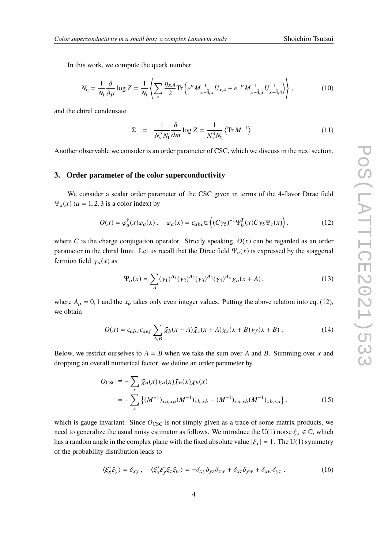In this work, we compute the quark number

$$
N_{\mathbf{q}} = \frac{1}{N_{\mathbf{t}}} \frac{\partial}{\partial \mu} \log Z = \frac{1}{N_{\mathbf{t}}} \left\langle \sum_{x} \frac{\eta_{x,4}}{2} \text{Tr} \left( e^{\mu} M_{x+\hat{4},x}^{-1} U_{x,4} + e^{-\mu} M_{x-\hat{4},x}^{-1} U_{x-\hat{4},4}^{-1} \right) \right\rangle, \tag{10}
$$

and the chiral condensate

$$
\Sigma = \frac{1}{N_s^3 N_t} \frac{\partial}{\partial m} \log Z = \frac{1}{N_s^3 N_t} \left\langle \text{Tr} \, M^{-1} \right\rangle \,. \tag{11}
$$

Another observable we consider is an order parameter of CSC, which we discuss in the next section.

#### <span id="page-3-0"></span>**3. Order parameter of the color superconductivity**

We consider a scalar order parameter of the CSC given in terms of the 4-flavor Dirac field  $\Psi_a(x)$  ( $a = 1, 2, 3$  is a color index) by

$$
O(x) = \varphi_a^{\dagger}(x)\varphi_a(x), \quad \varphi_a(x) = \epsilon_{abc} \text{tr}\left((C\gamma_5)^{-1}\Psi_b^T(x)C\gamma_5\Psi_c(x)\right),\tag{12}
$$

where *C* is the charge conjugation operator. Strictly speaking,  $O(x)$  can be regarded as an order parameter in the chiral limit. Let us recall that the Dirac field  $\Psi_a(x)$  is expressed by the staggered fermion field  $\chi_a(x)$  as

<span id="page-3-1"></span>
$$
\Psi_a(x) = \sum_A (\gamma_1)^{A_1} (\gamma_2)^{A_2} (\gamma_3)^{A_3} (\gamma_4)^{A_4} \chi_a(x+A) \,, \tag{13}
$$

where  $A_\mu = 0$ , 1 and the  $x_\mu$  takes only even integer values. Putting the above relation into eq. [\(12\)](#page-3-1), we obtain

$$
O(x) = \epsilon_{abc}\epsilon_{aef} \sum_{A,B} \bar{\chi}_b(x+A)\bar{\chi}_c(x+A)\chi_e(x+B)\chi_f(x+B) \,. \tag{14}
$$

Below, we restrict ourselves to  $A = B$  when we take the sum over A and B. Summing over x and dropping an overall numerical factor, we define an order parameter by

<span id="page-3-2"></span>
$$
O_{\text{CSC}} \equiv -\sum_{x} \bar{\chi}_a(x) \chi_a(x) \bar{\chi}_b(x) \chi_b(x)
$$
  
= 
$$
-\sum_{x} \left\{ (M^{-1})_{xa,xa}(M^{-1})_{xb,xb} - (M^{-1})_{xa,xb}(M^{-1})_{xb,xa} \right\},
$$
 (15)

which is gauge invariant. Since  $O_{\text{CSC}}$  is not simply given as a trace of some matrix products, we need to generalize the usual noisy estimator as follows. We introduce the U(1) noise  $\xi_x \in \mathbb{C}$ , which has a random angle in the complex plane with the fixed absolute value  $|\xi_x| = 1$ . The U(1) symmetry of the probability distribution leads to

$$
\langle \xi_x^* \xi_y \rangle = \delta_{xy}, \quad \langle \xi_x^* \xi_y^* \xi_z \xi_w \rangle = -\delta_{xy} \delta_{yz} \delta_{zw} + \delta_{xz} \delta_{yw} + \delta_{xw} \delta_{yz} . \tag{16}
$$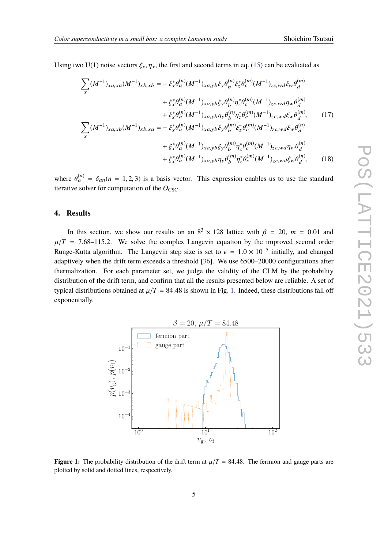Using two U(1) noise vectors  $\xi_x$ ,  $\eta_x$ , the first and second terms in eq. [\(15\)](#page-3-2) can be evaluated as

$$
\sum_{x} (M^{-1})_{xa,xa}(M^{-1})_{xb,xb} = -\xi_{x}^{*} \theta_{a}^{(n)} (M^{-1})_{xa,yb}\xi_{y} \theta_{b}^{(n)} \xi_{z}^{*} \theta_{c}^{(m)} (M^{-1})_{zc,wd}\xi_{w} \theta_{d}^{(m)}
$$

$$
+ \xi_{x}^{*} \theta_{a}^{(n)} (M^{-1})_{xa,yb}\xi_{y} \theta_{b}^{(n)} \eta_{z}^{*} \theta_{c}^{(m)} (M^{-1})_{zc,wd}\eta_{w} \theta_{d}^{(m)}
$$

$$
+ \xi_{x}^{*} \theta_{a}^{(n)} (M^{-1})_{xa,yb}\eta_{y} \theta_{b}^{(n)} \eta_{z}^{*} \theta_{c}^{(m)} (M^{-1})_{zc,wd}\xi_{w} \theta_{d}^{(m)}, \qquad (17)
$$

$$
\sum_{x} (M^{-1})_{xa,xb}(M^{-1})_{xb,xa} = -\xi_{x}^{*} \theta_{a}^{(n)} (M^{-1})_{xa,yb}\xi_{y} \theta_{b}^{(m)} \xi_{z}^{*} \theta_{c}^{(m)} (M^{-1})_{zc,wd}\xi_{w} \theta_{d}^{(n)}
$$

$$
+ \xi_{x}^{*} \theta_{a}^{(n)} (M^{-1})_{xa,yb}\xi_{y} \theta_{b}^{(m)} \eta_{z}^{*} \theta_{c}^{(m)} (M^{-1})_{zc,wd}\eta_{w} \theta_{d}^{(n)}
$$

$$
+ \xi_{x}^{*} \theta_{a}^{(n)} (M^{-1})_{xa,yb}\eta_{y} \theta_{b}^{(m)} \eta_{z}^{*} \theta_{c}^{(m)} (M^{-1})_{zc,wd}\xi_{w} \theta_{d}^{(n)}, \qquad (18)
$$

where  $\theta_a^{(n)} = \delta_{an}(n = 1, 2, 3)$  is a basis vector. This expression enables us to use the standard iterative solver for computation of the  $O_{\text{CSC}}$ .

#### <span id="page-4-0"></span>**4. Results**

In this section, we show our results on an  $8^3 \times 128$  lattice with  $\beta = 20$ ,  $m = 0.01$  and  $\beta = 7.68$  115.2. We salve the samplex Langwin squation by the improved second order  $\mu/T$  = 7.68–115.2. We solve the complex Langevin equation by the improved second order Runge-Kutta algorithm. The Langevin step size is set to  $\epsilon = 1.0 \times 10^{-5}$  initially, and changed adaptively when the drift term exceeds a threshold [\[36\]](#page-8-12). We use 6500–20000 configurations after thermalization. For each parameter set, we judge the validity of the CLM by the probability distribution of the drift term, and confirm that all the results presented below are reliable. A set of typical distributions obtained at  $\mu/T = 84.48$  is shown in Fig. [1.](#page-4-1) Indeed, these distributions fall off exponentially.

<span id="page-4-1"></span>

**Figure 1:** The probability distribution of the drift term at  $\mu/T = 84.48$ . The fermion and gauge parts are plotted by solid and dotted lines, respectively.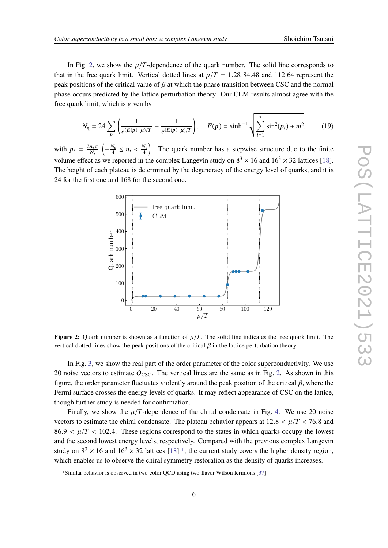In Fig. [2,](#page-5-0) we show the  $\mu/T$ -dependence of the quark number. The solid line corresponds to that in the free quark limit. Vertical dotted lines at  $\mu/T = 1.28, 84.48$  and 112.64 represent the peak positions of the critical value of  $\beta$  at which the phase transition between CSC and the normal phase occurs predicted by the lattice perturbation theory. Our CLM results almost agree with the free quark limit, which is given by

$$
N_{\mathbf{q}} = 24 \sum_{\mathbf{p}} \left( \frac{1}{e^{(E(\mathbf{p}) - \mu)/T}} - \frac{1}{e^{(E(\mathbf{p}) + \mu)/T}} \right), \quad E(\mathbf{p}) = \sinh^{-1} \sqrt{\sum_{i=1}^{3} \sin^2(p_i) + m^2}, \quad (19)
$$

<span id="page-5-0"></span>with  $p_i = \frac{2n_i\pi}{N_s}$  $\left(-\frac{N_s}{4} \le n_i < \frac{N_s}{4}\right)$ . The quark number has a stepwise structure due to the finite volume effect as we reported in the complex Langevin study on  $8^3 \times 16$  and  $16^3 \times 32$  lattices [\[18\]](#page-8-0). The height of each plateau is determined by the degeneracy of the energy level of quarks, and it is 24 for the first one and 168 for the second one.



**Figure 2:** Quark number is shown as a function of  $\mu/T$ . The solid line indicates the free quark limit. The vertical dotted lines show the peak positions of the critical  $\beta$  in the lattice perturbation theory.

In Fig. [3,](#page-6-1) we show the real part of the order parameter of the color superconductivity. We use 20 noise vectors to estimate  $O_{\text{CSC}}$ . The vertical lines are the same as in Fig. [2.](#page-5-0) As shown in this figure, the order parameter fluctuates violently around the peak position of the critical  $\beta$ , where the Fermi surface crosses the energy levels of quarks. It may reflect appearance of CSC on the lattice, though further study is needed for confirmation.

Finally, we show the  $\mu/T$ -dependence of the chiral condensate in Fig. [4.](#page-6-2) We use 20 noise vectors to estimate the chiral condensate. The plateau behavior appears at  $12.8 < \mu/T < 76.8$  and  $86.9 < \mu/T < 102.4$ . These regions correspond to the states in which quarks occupy the lowest and the second lowest energy levels, respectively. Compared with the previous complex Langevin study on  $8^3 \times 16$  $8^3 \times 16$  $8^3 \times 16$  and  $16^3 \times 32$  lattices [\[18\]](#page-8-0)<sup>1</sup>, the current study covers the higher density region, which enables us to observe the chiral symmetry restoration as the density of quarks increases.

<span id="page-5-1"></span><sup>1</sup>Similar behavior is observed in two-color QCD using two-flavor Wilson fermions [\[37\]](#page-8-13).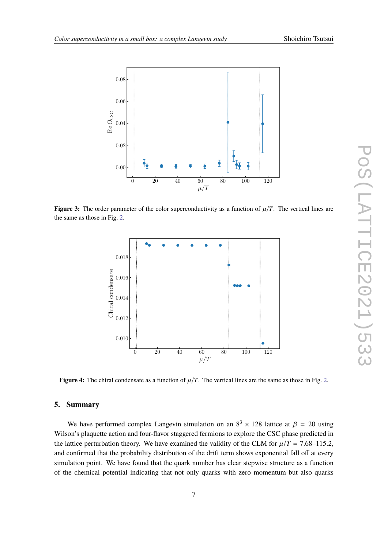<span id="page-6-1"></span>

<span id="page-6-2"></span>**Figure 3:** The order parameter of the color superconductivity as a function of  $\mu/T$ . The vertical lines are the same as those in Fig. [2.](#page-5-0)



**Figure 4:** The chiral condensate as a function of  $\mu/T$ . The vertical lines are the same as those in Fig. [2.](#page-5-0)

# <span id="page-6-0"></span>**5. Summary**

We have performed complex Langevin simulation on an  $8^3 \times 128$  lattice at  $\beta = 20$  using an's place with ordinary found for the constant of the CSC phase mediated in Wilson's plaquette action and four-flavor staggered fermions to explore the CSC phase predicted in the lattice perturbation theory. We have examined the validity of the CLM for  $\mu/T = 7.68 - 115.2$ , and confirmed that the probability distribution of the drift term shows exponential fall off at every simulation point. We have found that the quark number has clear stepwise structure as a function of the chemical potential indicating that not only quarks with zero momentum but also quarks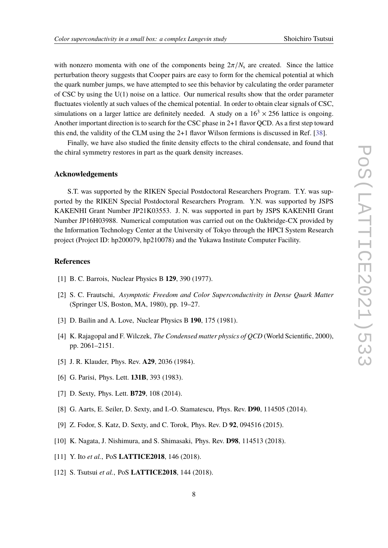with nonzero momenta with one of the components being  $2\pi/N_s$  are created. Since the lattice perturbation theory suggests that Cooper pairs are easy to form for the chemical potential at which the quark number jumps, we have attempted to see this behavior by calculating the order parameter of CSC by using the U(1) noise on a lattice. Our numerical results show that the order parameter fluctuates violently at such values of the chemical potential. In order to obtain clear signals of CSC, simulations on a larger lattice are definitely needed. A study on a  $16<sup>3</sup> \times 256$  lattice is ongoing. Another important direction is to search for the CSC phase in 2+1 flavor QCD. As a first step toward this end, the validity of the CLM using the 2+1 flavor Wilson fermions is discussed in Ref. [\[38\]](#page-8-14).

Finally, we have also studied the finite density effects to the chiral condensate, and found that the chiral symmetry restores in part as the quark density increases.

#### **Acknowledgements**

S.T. was supported by the RIKEN Special Postdoctoral Researchers Program. T.Y. was supported by the RIKEN Special Postdoctoral Researchers Program. Y.N. was supported by JSPS KAKENHI Grant Number JP21K03553. J. N. was supported in part by JSPS KAKENHI Grant Number JP16H03988. Numerical computation was carried out on the Oakbridge-CX provided by the Information Technology Center at the University of Tokyo through the HPCI System Research project (Project ID: hp200079, hp210078) and the Yukawa Institute Computer Facility.

## **References**

- <span id="page-7-0"></span>[1] B. C. Barrois, Nuclear Physics B **129**, 390 (1977).
- [2] S. C. Frautschi, *Asymptotic Freedom and Color Superconductivity in Dense Quark Matter* (Springer US, Boston, MA, 1980), pp. 19–27.
- [3] D. Bailin and A. Love, Nuclear Physics B **190**, 175 (1981).
- <span id="page-7-1"></span>[4] K. Rajagopal and F. Wilczek, *The Condensed matter physics of QCD* (World Scientific, 2000), pp. 2061–2151.
- <span id="page-7-2"></span>[5] J. R. Klauder, Phys. Rev. **A29**, 2036 (1984).
- <span id="page-7-3"></span>[6] G. Parisi, Phys. Lett. **131B**, 393 (1983).
- <span id="page-7-4"></span>[7] D. Sexty, Phys. Lett. **B729**, 108 (2014).
- [8] G. Aarts, E. Seiler, D. Sexty, and I.-O. Stamatescu, Phys. Rev. **D90**, 114505 (2014).
- [9] Z. Fodor, S. Katz, D. Sexty, and C. Torok, Phys. Rev. D **92**, 094516 (2015).
- [10] K. Nagata, J. Nishimura, and S. Shimasaki, Phys. Rev. **D98**, 114513 (2018).
- [11] Y. Ito *et al.*, PoS **LATTICE2018**, 146 (2018).
- [12] S. Tsutsui *et al.*, PoS **LATTICE2018**, 144 (2018).